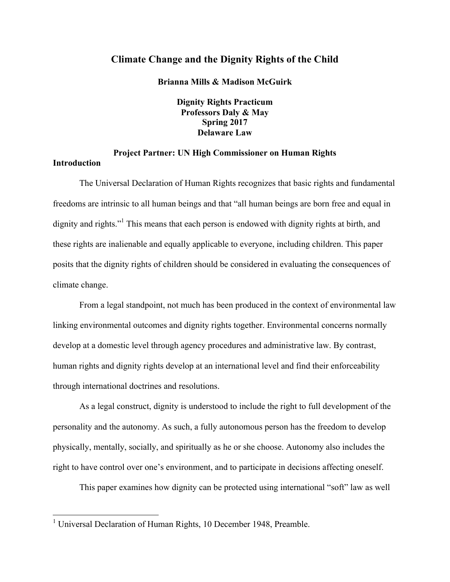## **Climate Change and the Dignity Rights of the Child**

**Brianna Mills & Madison McGuirk** 

**Dignity Rights Practicum Professors Daly & May Spring 2017 Delaware Law**

# **Project Partner: UN High Commissioner on Human Rights**

**Introduction**

The Universal Declaration of Human Rights recognizes that basic rights and fundamental freedoms are intrinsic to all human beings and that "all human beings are born free and equal in dignity and rights."<sup>1</sup> This means that each person is endowed with dignity rights at birth, and these rights are inalienable and equally applicable to everyone, including children. This paper posits that the dignity rights of children should be considered in evaluating the consequences of climate change.

From a legal standpoint, not much has been produced in the context of environmental law linking environmental outcomes and dignity rights together. Environmental concerns normally develop at a domestic level through agency procedures and administrative law. By contrast, human rights and dignity rights develop at an international level and find their enforceability through international doctrines and resolutions.

As a legal construct, dignity is understood to include the right to full development of the personality and the autonomy. As such, a fully autonomous person has the freedom to develop physically, mentally, socially, and spiritually as he or she choose. Autonomy also includes the right to have control over one's environment, and to participate in decisions affecting oneself.

This paper examines how dignity can be protected using international "soft" law as well

<sup>&</sup>lt;sup>1</sup> Universal Declaration of Human Rights, 10 December 1948, Preamble.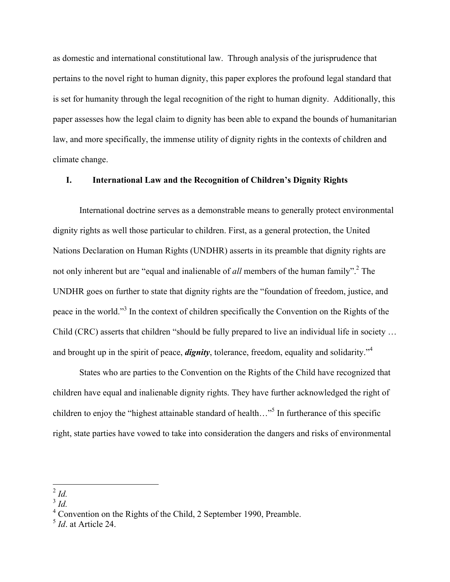as domestic and international constitutional law. Through analysis of the jurisprudence that pertains to the novel right to human dignity, this paper explores the profound legal standard that is set for humanity through the legal recognition of the right to human dignity. Additionally, this paper assesses how the legal claim to dignity has been able to expand the bounds of humanitarian law, and more specifically, the immense utility of dignity rights in the contexts of children and climate change.

#### **I. International Law and the Recognition of Children's Dignity Rights**

International doctrine serves as a demonstrable means to generally protect environmental dignity rights as well those particular to children. First, as a general protection, the United Nations Declaration on Human Rights (UNDHR) asserts in its preamble that dignity rights are not only inherent but are "equal and inalienable of *all* members of the human family".<sup>2</sup> The UNDHR goes on further to state that dignity rights are the "foundation of freedom, justice, and peace in the world."<sup>3</sup> In the context of children specifically the Convention on the Rights of the Child (CRC) asserts that children "should be fully prepared to live an individual life in society … and brought up in the spirit of peace, *dignity*, tolerance, freedom, equality and solidarity."<sup>4</sup>

States who are parties to the Convention on the Rights of the Child have recognized that children have equal and inalienable dignity rights. They have further acknowledged the right of children to enjoy the "highest attainable standard of health..."<sup>5</sup> In furtherance of this specific right, state parties have vowed to take into consideration the dangers and risks of environmental

 <sup>2</sup> *Id.*

 $\int_3^2$  *Id.* 

<sup>4</sup> Convention on the Rights of the Child, 2 September 1990, Preamble.

<sup>5</sup> *Id*. at Article 24.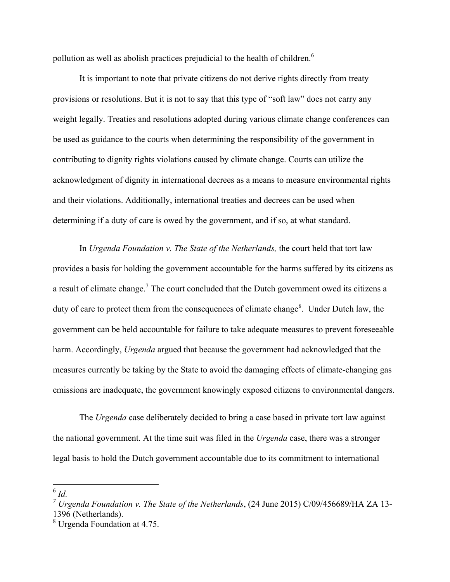pollution as well as abolish practices prejudicial to the health of children.<sup>6</sup>

It is important to note that private citizens do not derive rights directly from treaty provisions or resolutions. But it is not to say that this type of "soft law" does not carry any weight legally. Treaties and resolutions adopted during various climate change conferences can be used as guidance to the courts when determining the responsibility of the government in contributing to dignity rights violations caused by climate change. Courts can utilize the acknowledgment of dignity in international decrees as a means to measure environmental rights and their violations. Additionally, international treaties and decrees can be used when determining if a duty of care is owed by the government, and if so, at what standard.

In *Urgenda Foundation v. The State of the Netherlands,* the court held that tort law provides a basis for holding the government accountable for the harms suffered by its citizens as a result of climate change.<sup>7</sup> The court concluded that the Dutch government owed its citizens a duty of care to protect them from the consequences of climate change<sup>8</sup>. Under Dutch law, the government can be held accountable for failure to take adequate measures to prevent foreseeable harm. Accordingly, *Urgenda* argued that because the government had acknowledged that the measures currently be taking by the State to avoid the damaging effects of climate-changing gas emissions are inadequate, the government knowingly exposed citizens to environmental dangers.

The *Urgenda* case deliberately decided to bring a case based in private tort law against the national government. At the time suit was filed in the *Urgenda* case, there was a stronger legal basis to hold the Dutch government accountable due to its commitment to international

 <sup>6</sup> *Id.*

*<sup>7</sup> Urgenda Foundation v. The State of the Netherlands*, (24 June 2015) C/09/456689/HA ZA 13- 1396 (Netherlands).

<sup>8</sup> Urgenda Foundation at 4.75.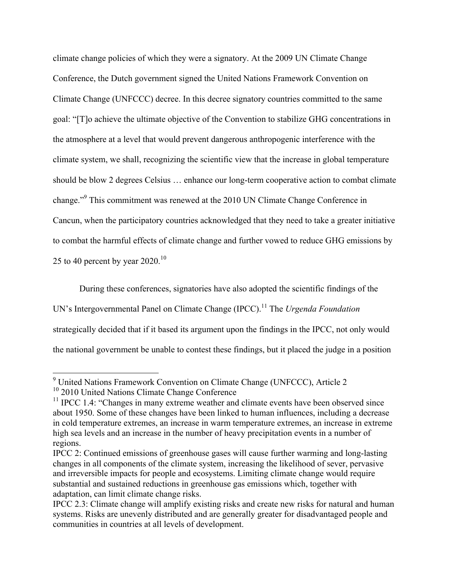climate change policies of which they were a signatory. At the 2009 UN Climate Change Conference, the Dutch government signed the United Nations Framework Convention on Climate Change (UNFCCC) decree. In this decree signatory countries committed to the same goal: "[T]o achieve the ultimate objective of the Convention to stabilize GHG concentrations in the atmosphere at a level that would prevent dangerous anthropogenic interference with the climate system, we shall, recognizing the scientific view that the increase in global temperature should be blow 2 degrees Celsius … enhance our long-term cooperative action to combat climate change." <sup>9</sup> This commitment was renewed at the 2010 UN Climate Change Conference in Cancun, when the participatory countries acknowledged that they need to take a greater initiative to combat the harmful effects of climate change and further vowed to reduce GHG emissions by 25 to 40 percent by year  $2020$ .<sup>10</sup>

During these conferences, signatories have also adopted the scientific findings of the UN's Intergovernmental Panel on Climate Change (IPCC).<sup>11</sup> The *Urgenda Foundation* strategically decided that if it based its argument upon the findings in the IPCC, not only would the national government be unable to contest these findings, but it placed the judge in a position

 <sup>9</sup> United Nations Framework Convention on Climate Change (UNFCCC), Article 2

<sup>&</sup>lt;sup>10</sup> 2010 United Nations Climate Change Conference

 $11$  IPCC 1.4: "Changes in many extreme weather and climate events have been observed since about 1950. Some of these changes have been linked to human influences, including a decrease in cold temperature extremes, an increase in warm temperature extremes, an increase in extreme high sea levels and an increase in the number of heavy precipitation events in a number of regions.

IPCC 2: Continued emissions of greenhouse gases will cause further warming and long-lasting changes in all components of the climate system, increasing the likelihood of sever, pervasive and irreversible impacts for people and ecosystems. Limiting climate change would require substantial and sustained reductions in greenhouse gas emissions which, together with adaptation, can limit climate change risks.

IPCC 2.3: Climate change will amplify existing risks and create new risks for natural and human systems. Risks are unevenly distributed and are generally greater for disadvantaged people and communities in countries at all levels of development.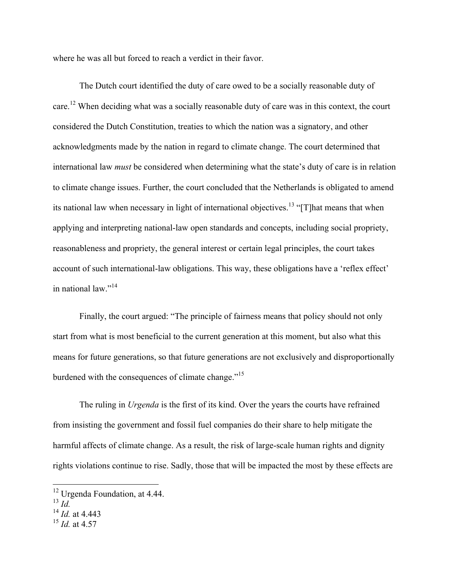where he was all but forced to reach a verdict in their favor.

The Dutch court identified the duty of care owed to be a socially reasonable duty of care.<sup>12</sup> When deciding what was a socially reasonable duty of care was in this context, the court considered the Dutch Constitution, treaties to which the nation was a signatory, and other acknowledgments made by the nation in regard to climate change. The court determined that international law *must* be considered when determining what the state's duty of care is in relation to climate change issues. Further, the court concluded that the Netherlands is obligated to amend its national law when necessary in light of international objectives.<sup>13</sup> "[T]hat means that when applying and interpreting national-law open standards and concepts, including social propriety, reasonableness and propriety, the general interest or certain legal principles, the court takes account of such international-law obligations. This way, these obligations have a 'reflex effect' in national law." 14

Finally, the court argued: "The principle of fairness means that policy should not only start from what is most beneficial to the current generation at this moment, but also what this means for future generations, so that future generations are not exclusively and disproportionally burdened with the consequences of climate change."<sup>15</sup>

The ruling in *Urgenda* is the first of its kind. Over the years the courts have refrained from insisting the government and fossil fuel companies do their share to help mitigate the harmful affects of climate change. As a result, the risk of large-scale human rights and dignity rights violations continue to rise. Sadly, those that will be impacted the most by these effects are

<sup>&</sup>lt;sup>12</sup> Urgenda Foundation, at 4.44.

 $^{13}$   $\overline{Id}$ .

<sup>14</sup> *Id.* at 4.443

<sup>15</sup> *Id.* at 4.57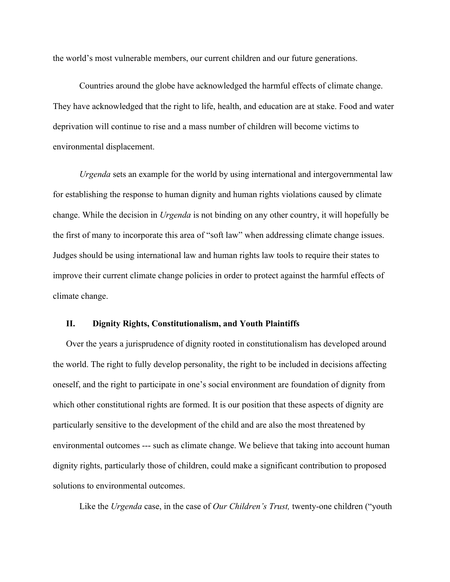the world's most vulnerable members, our current children and our future generations.

Countries around the globe have acknowledged the harmful effects of climate change. They have acknowledged that the right to life, health, and education are at stake. Food and water deprivation will continue to rise and a mass number of children will become victims to environmental displacement.

*Urgenda* sets an example for the world by using international and intergovernmental law for establishing the response to human dignity and human rights violations caused by climate change. While the decision in *Urgenda* is not binding on any other country, it will hopefully be the first of many to incorporate this area of "soft law" when addressing climate change issues. Judges should be using international law and human rights law tools to require their states to improve their current climate change policies in order to protect against the harmful effects of climate change.

### **II. Dignity Rights, Constitutionalism, and Youth Plaintiffs**

Over the years a jurisprudence of dignity rooted in constitutionalism has developed around the world. The right to fully develop personality, the right to be included in decisions affecting oneself, and the right to participate in one's social environment are foundation of dignity from which other constitutional rights are formed. It is our position that these aspects of dignity are particularly sensitive to the development of the child and are also the most threatened by environmental outcomes --- such as climate change. We believe that taking into account human dignity rights, particularly those of children, could make a significant contribution to proposed solutions to environmental outcomes.

Like the *Urgenda* case, in the case of *Our Children's Trust,* twenty-one children ("youth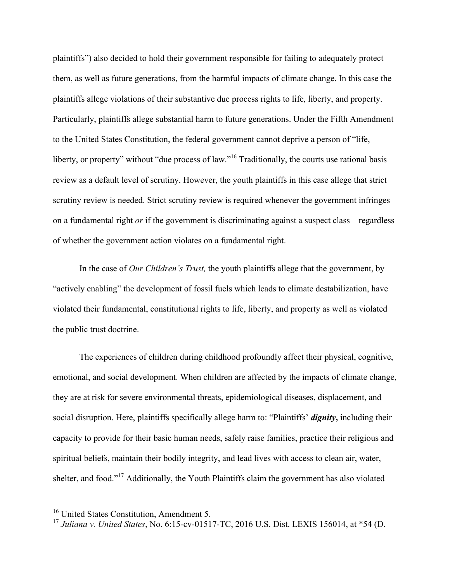plaintiffs") also decided to hold their government responsible for failing to adequately protect them, as well as future generations, from the harmful impacts of climate change. In this case the plaintiffs allege violations of their substantive due process rights to life, liberty, and property. Particularly, plaintiffs allege substantial harm to future generations. Under the Fifth Amendment to the United States Constitution, the federal government cannot deprive a person of "life, liberty, or property" without "due process of law."<sup>16</sup> Traditionally, the courts use rational basis review as a default level of scrutiny. However, the youth plaintiffs in this case allege that strict scrutiny review is needed. Strict scrutiny review is required whenever the government infringes on a fundamental right *or* if the government is discriminating against a suspect class – regardless of whether the government action violates on a fundamental right.

In the case of *Our Children's Trust,* the youth plaintiffs allege that the government, by "actively enabling" the development of fossil fuels which leads to climate destabilization, have violated their fundamental, constitutional rights to life, liberty, and property as well as violated the public trust doctrine.

The experiences of children during childhood profoundly affect their physical, cognitive, emotional, and social development. When children are affected by the impacts of climate change, they are at risk for severe environmental threats, epidemiological diseases, displacement, and social disruption. Here, plaintiffs specifically allege harm to: "Plaintiffs' *dignity***,** including their capacity to provide for their basic human needs, safely raise families, practice their religious and spiritual beliefs, maintain their bodily integrity, and lead lives with access to clean air, water, shelter, and food."<sup>17</sup> Additionally, the Youth Plaintiffs claim the government has also violated

<sup>&</sup>lt;sup>16</sup> United States Constitution, Amendment 5.

<sup>17</sup> *Juliana v. United States*, No. 6:15-cv-01517-TC, 2016 U.S. Dist. LEXIS 156014, at \*54 (D.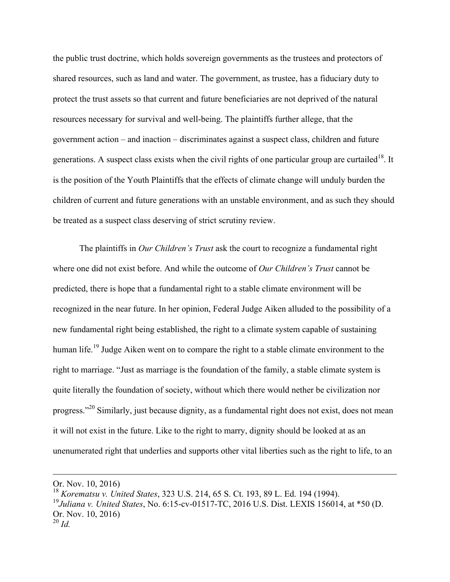the public trust doctrine, which holds sovereign governments as the trustees and protectors of shared resources, such as land and water. The government, as trustee, has a fiduciary duty to protect the trust assets so that current and future beneficiaries are not deprived of the natural resources necessary for survival and well-being. The plaintiffs further allege, that the government action – and inaction – discriminates against a suspect class, children and future generations. A suspect class exists when the civil rights of one particular group are curtailed<sup>18</sup>. It is the position of the Youth Plaintiffs that the effects of climate change will unduly burden the children of current and future generations with an unstable environment, and as such they should be treated as a suspect class deserving of strict scrutiny review.

The plaintiffs in *Our Children's Trust* ask the court to recognize a fundamental right where one did not exist before. And while the outcome of *Our Children's Trust* cannot be predicted, there is hope that a fundamental right to a stable climate environment will be recognized in the near future. In her opinion, Federal Judge Aiken alluded to the possibility of a new fundamental right being established, the right to a climate system capable of sustaining human life.<sup>19</sup> Judge Aiken went on to compare the right to a stable climate environment to the right to marriage. "Just as marriage is the foundation of the family, a stable climate system is quite literally the foundation of society, without which there would nether be civilization nor progress."20 Similarly, just because dignity, as a fundamental right does not exist, does not mean it will not exist in the future. Like to the right to marry, dignity should be looked at as an unenumerated right that underlies and supports other vital liberties such as the right to life, to an

<u> 1989 - Andrea Santa Andrea Santa Andrea Santa Andrea Santa Andrea Santa Andrea Santa Andrea Santa Andrea San</u>

Or. Nov. 10, 2016)

<sup>18</sup> *Korematsu v. United States*, 323 U.S. 214, 65 S. Ct. 193, 89 L. Ed. 194 (1994). <sup>19</sup>*Juliana v. United States*, No. 6:15-cv-01517-TC, 2016 U.S. Dist. LEXIS 156014, at \*50 (D. Or. Nov. 10, 2016) <sup>20</sup> *Id.*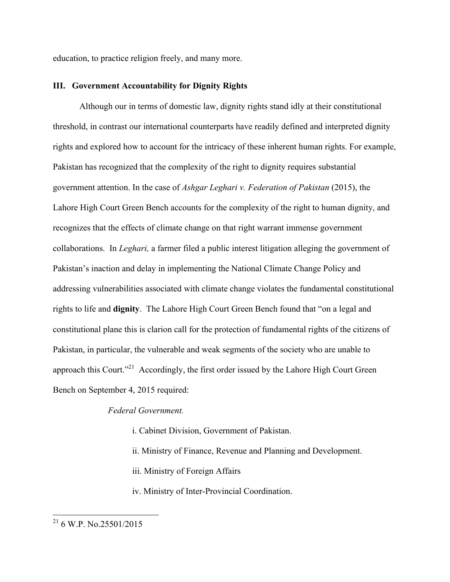education, to practice religion freely, and many more.

#### **III. Government Accountability for Dignity Rights**

Although our in terms of domestic law, dignity rights stand idly at their constitutional threshold, in contrast our international counterparts have readily defined and interpreted dignity rights and explored how to account for the intricacy of these inherent human rights. For example, Pakistan has recognized that the complexity of the right to dignity requires substantial government attention. In the case of *Ashgar Leghari v. Federation of Pakistan* (2015), the Lahore High Court Green Bench accounts for the complexity of the right to human dignity, and recognizes that the effects of climate change on that right warrant immense government collaborations. In *Leghari,* a farmer filed a public interest litigation alleging the government of Pakistan's inaction and delay in implementing the National Climate Change Policy and addressing vulnerabilities associated with climate change violates the fundamental constitutional rights to life and **dignity**. The Lahore High Court Green Bench found that "on a legal and constitutional plane this is clarion call for the protection of fundamental rights of the citizens of Pakistan, in particular, the vulnerable and weak segments of the society who are unable to approach this Court."<sup>21</sup> Accordingly, the first order issued by the Lahore High Court Green Bench on September 4, 2015 required:

## *Federal Government.*

- i. Cabinet Division, Government of Pakistan.
- ii. Ministry of Finance, Revenue and Planning and Development.
- iii. Ministry of Foreign Affairs
- iv. Ministry of Inter-Provincial Coordination.

 <sup>21</sup> 6 W.P. No.25501/2015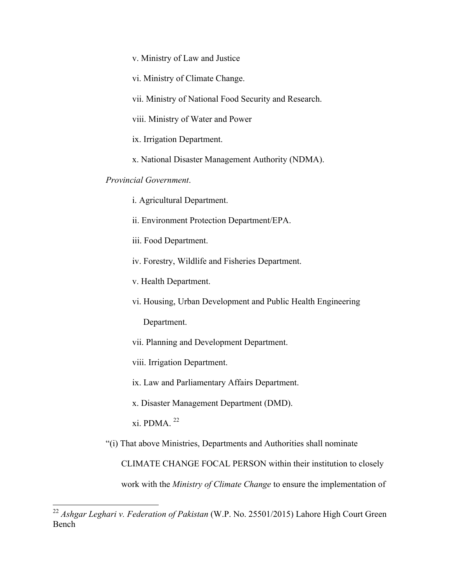v. Ministry of Law and Justice

vi. Ministry of Climate Change.

vii. Ministry of National Food Security and Research.

viii. Ministry of Water and Power

ix. Irrigation Department.

x. National Disaster Management Authority (NDMA).

## *Provincial Government*.

i. Agricultural Department.

ii. Environment Protection Department/EPA.

iii. Food Department.

iv. Forestry, Wildlife and Fisheries Department.

v. Health Department.

vi. Housing, Urban Development and Public Health Engineering

Department.

vii. Planning and Development Department.

viii. Irrigation Department.

ix. Law and Parliamentary Affairs Department.

x. Disaster Management Department (DMD).

xi. PDMA.  $^{22}$ 

"(i) That above Ministries, Departments and Authorities shall nominate

CLIMATE CHANGE FOCAL PERSON within their institution to closely

work with the *Ministry of Climate Change* to ensure the implementation of

 <sup>22</sup> *Ashgar Leghari v. Federation of Pakistan* (W.P. No. 25501/2015) Lahore High Court Green Bench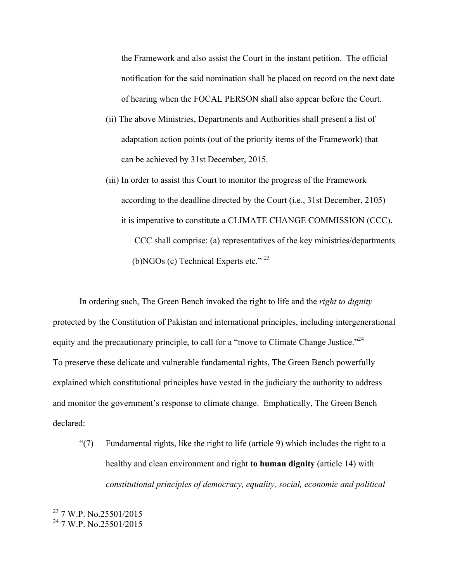the Framework and also assist the Court in the instant petition. The official notification for the said nomination shall be placed on record on the next date of hearing when the FOCAL PERSON shall also appear before the Court.

- (ii) The above Ministries, Departments and Authorities shall present a list of adaptation action points (out of the priority items of the Framework) that can be achieved by 31st December, 2015.
- (iii) In order to assist this Court to monitor the progress of the Framework according to the deadline directed by the Court (i.e., 31st December, 2105) it is imperative to constitute a CLIMATE CHANGE COMMISSION (CCC). CCC shall comprise: (a) representatives of the key ministries/departments (b)NGOs (c) Technical Experts etc." <sup>23</sup>

In ordering such, The Green Bench invoked the right to life and the *right to dignity* protected by the Constitution of Pakistan and international principles, including intergenerational equity and the precautionary principle, to call for a "move to Climate Change Justice."<sup>24</sup> To preserve these delicate and vulnerable fundamental rights, The Green Bench powerfully explained which constitutional principles have vested in the judiciary the authority to address and monitor the government's response to climate change. Emphatically, The Green Bench declared:

"(7) Fundamental rights, like the right to life (article 9) which includes the right to a healthy and clean environment and right **to human dignity** (article 14) with *constitutional principles of democracy, equality, social, economic and political* 

<sup>&</sup>lt;sup>23</sup> 7 W.P. No.25501/2015

<sup>24</sup> 7 W.P. No.25501/2015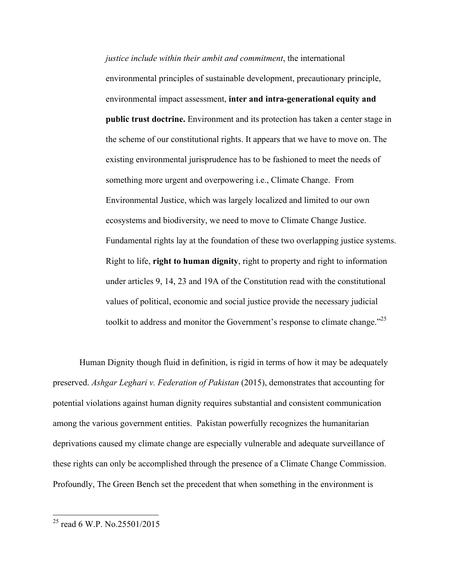*justice include within their ambit and commitment*, the international environmental principles of sustainable development, precautionary principle, environmental impact assessment, **inter and intra-generational equity and public trust doctrine.** Environment and its protection has taken a center stage in the scheme of our constitutional rights. It appears that we have to move on. The existing environmental jurisprudence has to be fashioned to meet the needs of something more urgent and overpowering i.e., Climate Change. From Environmental Justice, which was largely localized and limited to our own ecosystems and biodiversity, we need to move to Climate Change Justice. Fundamental rights lay at the foundation of these two overlapping justice systems. Right to life, **right to human dignity**, right to property and right to information under articles 9, 14, 23 and 19A of the Constitution read with the constitutional values of political, economic and social justice provide the necessary judicial toolkit to address and monitor the Government's response to climate change.<sup>225</sup>

Human Dignity though fluid in definition, is rigid in terms of how it may be adequately preserved. *Ashgar Leghari v. Federation of Pakistan* (2015), demonstrates that accounting for potential violations against human dignity requires substantial and consistent communication among the various government entities. Pakistan powerfully recognizes the humanitarian deprivations caused my climate change are especially vulnerable and adequate surveillance of these rights can only be accomplished through the presence of a Climate Change Commission. Profoundly, The Green Bench set the precedent that when something in the environment is

 <sup>25</sup> read 6 W.P. No.25501/2015